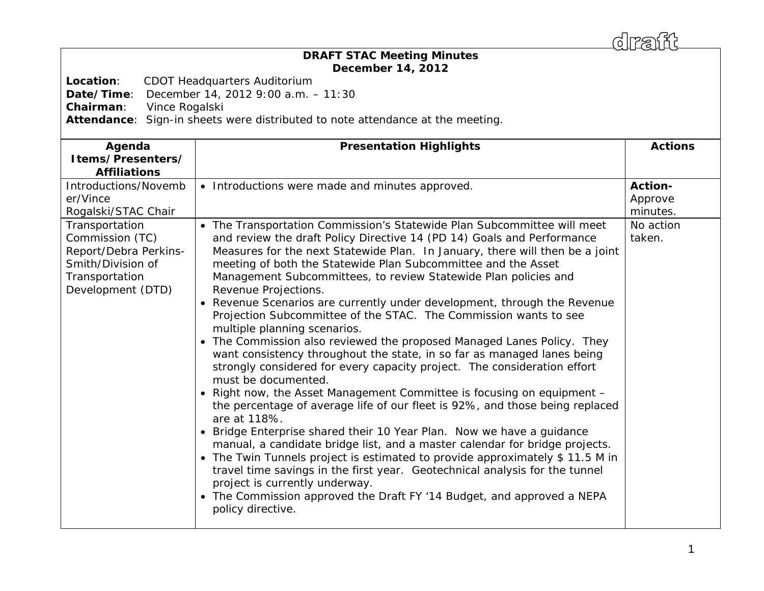draff

## *DRAFT* **STAC Meeting Minutes December 14, 2012**

**Location**: CDOT Headquarters Auditorium

**Date/Time**: December 14, 2012 9:00 a.m. – 11:30

**Chairman**: Vince Rogalski

**Attendance**: Sign-in sheets were distributed to note attendance at the meeting.

| Agenda<br>Items/Presenters/<br><b>Affiliations</b>                                                   | <b>Presentation Highlights</b>                                                                                                                                                                                                                                                                                                                                                                                                                                                                                                                                                                                                                                                                                                                                                                                                                                                                                                                                                                                                                                                                                                                                                                                                                                                                                                                                                               | <b>Actions</b>                              |
|------------------------------------------------------------------------------------------------------|----------------------------------------------------------------------------------------------------------------------------------------------------------------------------------------------------------------------------------------------------------------------------------------------------------------------------------------------------------------------------------------------------------------------------------------------------------------------------------------------------------------------------------------------------------------------------------------------------------------------------------------------------------------------------------------------------------------------------------------------------------------------------------------------------------------------------------------------------------------------------------------------------------------------------------------------------------------------------------------------------------------------------------------------------------------------------------------------------------------------------------------------------------------------------------------------------------------------------------------------------------------------------------------------------------------------------------------------------------------------------------------------|---------------------------------------------|
| Introductions/Novemb<br>er/Vince<br>Rogalski/STAC Chair<br>Transportation                            | • Introductions were made and minutes approved.<br>• The Transportation Commission's Statewide Plan Subcommittee will meet                                                                                                                                                                                                                                                                                                                                                                                                                                                                                                                                                                                                                                                                                                                                                                                                                                                                                                                                                                                                                                                                                                                                                                                                                                                                   | Action-<br>Approve<br>minutes.<br>No action |
| Commission (TC)<br>Report/Debra Perkins-<br>Smith/Division of<br>Transportation<br>Development (DTD) | and review the draft Policy Directive 14 (PD 14) Goals and Performance<br>Measures for the next Statewide Plan. In January, there will then be a joint<br>meeting of both the Statewide Plan Subcommittee and the Asset<br>Management Subcommittees, to review Statewide Plan policies and<br>Revenue Projections.<br>• Revenue Scenarios are currently under development, through the Revenue<br>Projection Subcommittee of the STAC. The Commission wants to see<br>multiple planning scenarios.<br>• The Commission also reviewed the proposed Managed Lanes Policy. They<br>want consistency throughout the state, in so far as managed lanes being<br>strongly considered for every capacity project. The consideration effort<br>must be documented.<br>• Right now, the Asset Management Committee is focusing on equipment -<br>the percentage of average life of our fleet is 92%, and those being replaced<br>are at 118%.<br>• Bridge Enterprise shared their 10 Year Plan. Now we have a guidance<br>manual, a candidate bridge list, and a master calendar for bridge projects.<br>• The Twin Tunnels project is estimated to provide approximately \$11.5 M in<br>travel time savings in the first year. Geotechnical analysis for the tunnel<br>project is currently underway.<br>• The Commission approved the Draft FY '14 Budget, and approved a NEPA<br>policy directive. | taken.                                      |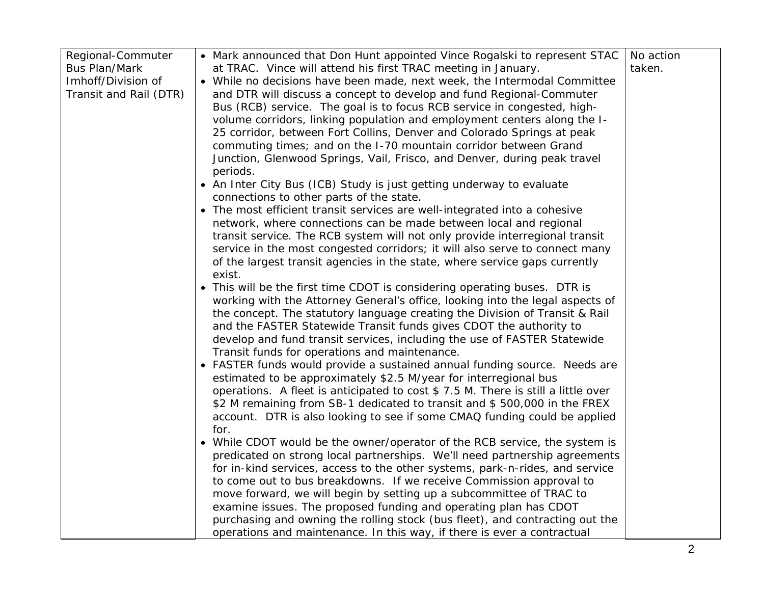| Regional-Commuter      | • Mark announced that Don Hunt appointed Vince Rogalski to represent STAC        | No action |
|------------------------|----------------------------------------------------------------------------------|-----------|
| <b>Bus Plan/Mark</b>   | at TRAC. Vince will attend his first TRAC meeting in January.                    | taken.    |
| Imhoff/Division of     | • While no decisions have been made, next week, the Intermodal Committee         |           |
| Transit and Rail (DTR) | and DTR will discuss a concept to develop and fund Regional-Commuter             |           |
|                        | Bus (RCB) service. The goal is to focus RCB service in congested, high-          |           |
|                        | volume corridors, linking population and employment centers along the I-         |           |
|                        | 25 corridor, between Fort Collins, Denver and Colorado Springs at peak           |           |
|                        | commuting times; and on the I-70 mountain corridor between Grand                 |           |
|                        | Junction, Glenwood Springs, Vail, Frisco, and Denver, during peak travel         |           |
|                        | periods.                                                                         |           |
|                        | • An Inter City Bus (ICB) Study is just getting underway to evaluate             |           |
|                        | connections to other parts of the state.                                         |           |
|                        | • The most efficient transit services are well-integrated into a cohesive        |           |
|                        | network, where connections can be made between local and regional                |           |
|                        | transit service. The RCB system will not only provide interregional transit      |           |
|                        | service in the most congested corridors; it will also serve to connect many      |           |
|                        | of the largest transit agencies in the state, where service gaps currently       |           |
|                        | exist.                                                                           |           |
|                        | • This will be the first time CDOT is considering operating buses. DTR is        |           |
|                        | working with the Attorney General's office, looking into the legal aspects of    |           |
|                        | the concept. The statutory language creating the Division of Transit & Rail      |           |
|                        | and the FASTER Statewide Transit funds gives CDOT the authority to               |           |
|                        | develop and fund transit services, including the use of FASTER Statewide         |           |
|                        | Transit funds for operations and maintenance.                                    |           |
|                        | • FASTER funds would provide a sustained annual funding source. Needs are        |           |
|                        | estimated to be approximately \$2.5 M/year for interregional bus                 |           |
|                        | operations. A fleet is anticipated to cost \$7.5 M. There is still a little over |           |
|                        | \$2 M remaining from SB-1 dedicated to transit and \$500,000 in the FREX         |           |
|                        | account. DTR is also looking to see if some CMAQ funding could be applied        |           |
|                        | for.                                                                             |           |
|                        | • While CDOT would be the owner/operator of the RCB service, the system is       |           |
|                        | predicated on strong local partnerships. We'll need partnership agreements       |           |
|                        | for in-kind services, access to the other systems, park-n-rides, and service     |           |
|                        | to come out to bus breakdowns. If we receive Commission approval to              |           |
|                        | move forward, we will begin by setting up a subcommittee of TRAC to              |           |
|                        | examine issues. The proposed funding and operating plan has CDOT                 |           |
|                        | purchasing and owning the rolling stock (bus fleet), and contracting out the     |           |
|                        | operations and maintenance. In this way, if there is ever a contractual          |           |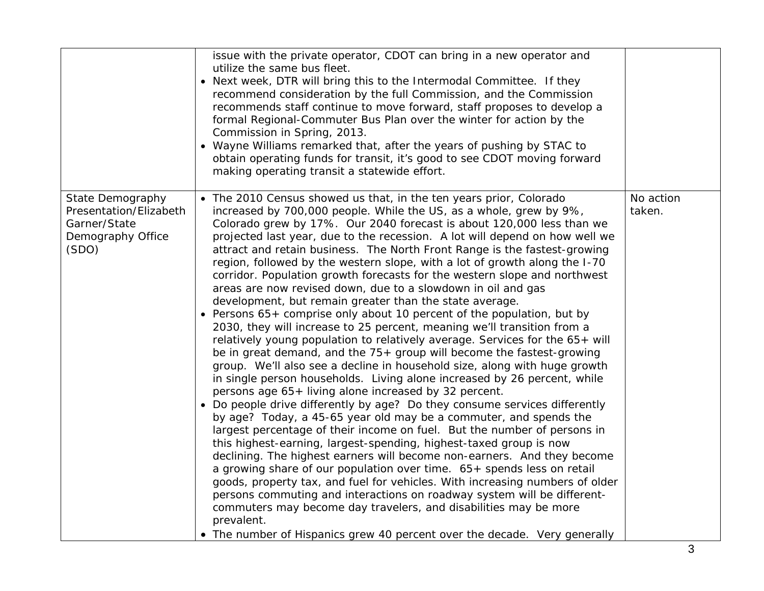|                                                                                                 | issue with the private operator, CDOT can bring in a new operator and<br>utilize the same bus fleet.<br>• Next week, DTR will bring this to the Intermodal Committee. If they<br>recommend consideration by the full Commission, and the Commission<br>recommends staff continue to move forward, staff proposes to develop a<br>formal Regional-Commuter Bus Plan over the winter for action by the<br>Commission in Spring, 2013.<br>• Wayne Williams remarked that, after the years of pushing by STAC to<br>obtain operating funds for transit, it's good to see CDOT moving forward<br>making operating transit a statewide effort.                                                                                                                                                                                                                                                                                                                                                                                                                                                                                                                                                                                                                                                                                                                                                                                                                                                                                                                                                                                                                                                                                                                                                                                                                                                                                                                                                |                     |
|-------------------------------------------------------------------------------------------------|-----------------------------------------------------------------------------------------------------------------------------------------------------------------------------------------------------------------------------------------------------------------------------------------------------------------------------------------------------------------------------------------------------------------------------------------------------------------------------------------------------------------------------------------------------------------------------------------------------------------------------------------------------------------------------------------------------------------------------------------------------------------------------------------------------------------------------------------------------------------------------------------------------------------------------------------------------------------------------------------------------------------------------------------------------------------------------------------------------------------------------------------------------------------------------------------------------------------------------------------------------------------------------------------------------------------------------------------------------------------------------------------------------------------------------------------------------------------------------------------------------------------------------------------------------------------------------------------------------------------------------------------------------------------------------------------------------------------------------------------------------------------------------------------------------------------------------------------------------------------------------------------------------------------------------------------------------------------------------------------|---------------------|
| <b>State Demography</b><br>Presentation/Elizabeth<br>Garner/State<br>Demography Office<br>(SDO) | • The 2010 Census showed us that, in the ten years prior, Colorado<br>increased by 700,000 people. While the US, as a whole, grew by 9%,<br>Colorado grew by 17%. Our 2040 forecast is about 120,000 less than we<br>projected last year, due to the recession. A lot will depend on how well we<br>attract and retain business. The North Front Range is the fastest-growing<br>region, followed by the western slope, with a lot of growth along the I-70<br>corridor. Population growth forecasts for the western slope and northwest<br>areas are now revised down, due to a slowdown in oil and gas<br>development, but remain greater than the state average.<br>• Persons 65+ comprise only about 10 percent of the population, but by<br>2030, they will increase to 25 percent, meaning we'll transition from a<br>relatively young population to relatively average. Services for the 65+ will<br>be in great demand, and the 75+ group will become the fastest-growing<br>group. We'll also see a decline in household size, along with huge growth<br>in single person households. Living alone increased by 26 percent, while<br>persons age 65+ living alone increased by 32 percent.<br>• Do people drive differently by age? Do they consume services differently<br>by age? Today, a 45-65 year old may be a commuter, and spends the<br>largest percentage of their income on fuel. But the number of persons in<br>this highest-earning, largest-spending, highest-taxed group is now<br>declining. The highest earners will become non-earners. And they become<br>a growing share of our population over time. 65+ spends less on retail<br>goods, property tax, and fuel for vehicles. With increasing numbers of older<br>persons commuting and interactions on roadway system will be different-<br>commuters may become day travelers, and disabilities may be more<br>prevalent.<br>• The number of Hispanics grew 40 percent over the decade. Very generally | No action<br>taken. |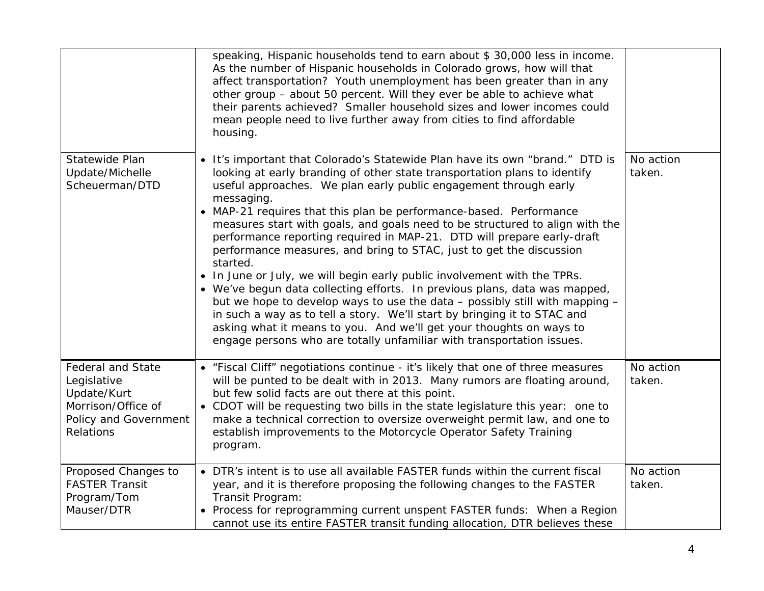|                                                                                                                    | speaking, Hispanic households tend to earn about \$ 30,000 less in income.<br>As the number of Hispanic households in Colorado grows, how will that<br>affect transportation? Youth unemployment has been greater than in any<br>other group - about 50 percent. Will they ever be able to achieve what<br>their parents achieved? Smaller household sizes and lower incomes could<br>mean people need to live further away from cities to find affordable<br>housing.                                                                                                                                                                                                                                                                                                                                                                                                                                                                                                                                                                  |                     |
|--------------------------------------------------------------------------------------------------------------------|-----------------------------------------------------------------------------------------------------------------------------------------------------------------------------------------------------------------------------------------------------------------------------------------------------------------------------------------------------------------------------------------------------------------------------------------------------------------------------------------------------------------------------------------------------------------------------------------------------------------------------------------------------------------------------------------------------------------------------------------------------------------------------------------------------------------------------------------------------------------------------------------------------------------------------------------------------------------------------------------------------------------------------------------|---------------------|
| Statewide Plan<br>Update/Michelle<br>Scheuerman/DTD                                                                | . It's important that Colorado's Statewide Plan have its own "brand." DTD is<br>looking at early branding of other state transportation plans to identify<br>useful approaches. We plan early public engagement through early<br>messaging.<br>• MAP-21 requires that this plan be performance-based. Performance<br>measures start with goals, and goals need to be structured to align with the<br>performance reporting required in MAP-21. DTD will prepare early-draft<br>performance measures, and bring to STAC, just to get the discussion<br>started.<br>• In June or July, we will begin early public involvement with the TPRs.<br>• We've begun data collecting efforts. In previous plans, data was mapped,<br>but we hope to develop ways to use the data $-$ possibly still with mapping $-$<br>in such a way as to tell a story. We'll start by bringing it to STAC and<br>asking what it means to you. And we'll get your thoughts on ways to<br>engage persons who are totally unfamiliar with transportation issues. | No action<br>taken. |
| <b>Federal and State</b><br>Legislative<br>Update/Kurt<br>Morrison/Office of<br>Policy and Government<br>Relations | • "Fiscal Cliff" negotiations continue - it's likely that one of three measures<br>will be punted to be dealt with in 2013. Many rumors are floating around,<br>but few solid facts are out there at this point.<br>• CDOT will be requesting two bills in the state legislature this year: one to<br>make a technical correction to oversize overweight permit law, and one to<br>establish improvements to the Motorcycle Operator Safety Training<br>program.                                                                                                                                                                                                                                                                                                                                                                                                                                                                                                                                                                        | No action<br>taken. |
| Proposed Changes to<br><b>FASTER Transit</b><br>Program/Tom<br>Mauser/DTR                                          | • DTR's intent is to use all available FASTER funds within the current fiscal<br>year, and it is therefore proposing the following changes to the FASTER<br>Transit Program:<br>• Process for reprogramming current unspent FASTER funds: When a Region<br>cannot use its entire FASTER transit funding allocation, DTR believes these                                                                                                                                                                                                                                                                                                                                                                                                                                                                                                                                                                                                                                                                                                  | No action<br>taken. |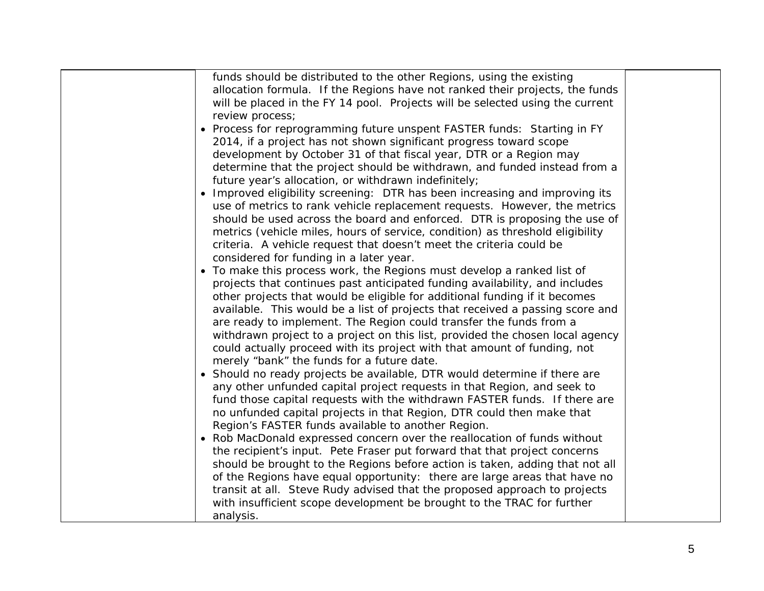funds should be distributed to the other Regions, using the existing allocation formula. If the Regions have not ranked their projects, the funds will be placed in the FY 14 pool. Projects will be selected using the current review process;

- *Process for reprogramming future unspent FASTER funds:* Starting in FY 2014, if a project has not shown significant progress toward scope development by October 31 of that fiscal year, DTR or a Region may determine that the project should be withdrawn, and funded instead from a future year's allocation, or withdrawn indefinitely;
- *Improved eligibility screening:* DTR has been increasing and improving its use of metrics to rank vehicle replacement requests. However, the metrics should be used across the board and enforced. DTR is proposing the use of metrics (vehicle miles, hours of service, condition) as threshold eligibility criteria. A vehicle request that doesn't meet the criteria could be considered for funding in a later year.
- To make this process work, the Regions must develop a ranked list of projects that continues past anticipated funding availability, and includes other projects that would be eligible for additional funding if it becomes available. This would be a list of projects that received a passing score and are ready to implement. The Region could transfer the funds from a withdrawn project to a project on this list, provided the chosen local agency could actually proceed with its project with that amount of funding, not merely "bank" the funds for a future date.
- $\bullet\,$  Should no ready projects be available, DTR would determine if there are any other unfunded capital project requests in that Region, and seek to fund those capital requests with the withdrawn FASTER funds. If there are no unfunded capital projects in that Region, DTR could then make that Region's FASTER funds available to another Region.
- Rob MacDonald expressed concern over the reallocation of funds without the recipient's input. Pete Fraser put forward that that project concerns should be brought to the Regions before action is taken, adding that not all of the Regions have equal opportunity: there are large areas that have no transit at all. Steve Rudy advised that the proposed approach to projects with insufficient scope development be brought to the TRAC for further analysis.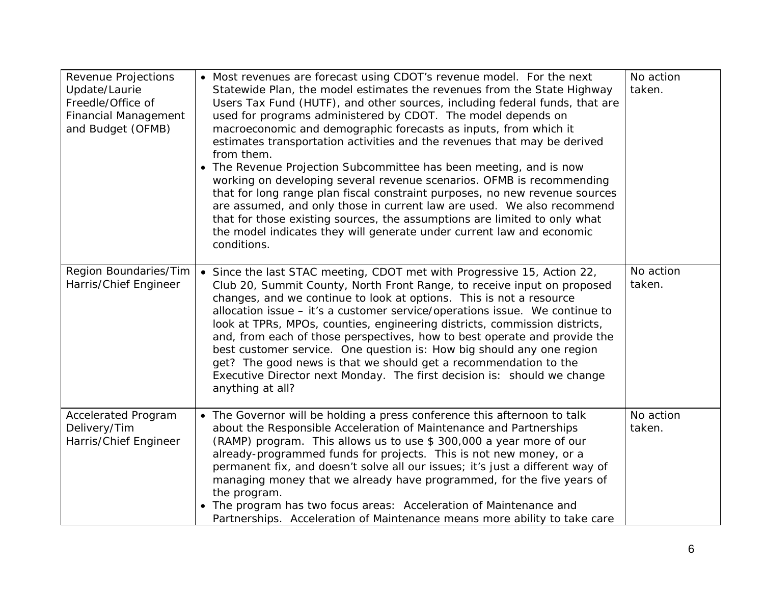| Revenue Projections<br>Update/Laurie<br>Freedle/Office of<br><b>Financial Management</b><br>and Budget (OFMB) | • Most revenues are forecast using CDOT's revenue model. For the next<br>Statewide Plan, the model estimates the revenues from the State Highway<br>Users Tax Fund (HUTF), and other sources, including federal funds, that are<br>used for programs administered by CDOT. The model depends on<br>macroeconomic and demographic forecasts as inputs, from which it<br>estimates transportation activities and the revenues that may be derived<br>from them.<br>• The Revenue Projection Subcommittee has been meeting, and is now<br>working on developing several revenue scenarios. OFMB is recommending<br>that for long range plan fiscal constraint purposes, no new revenue sources<br>are assumed, and only those in current law are used. We also recommend<br>that for those existing sources, the assumptions are limited to only what<br>the model indicates they will generate under current law and economic<br>conditions. | No action<br>taken. |
|---------------------------------------------------------------------------------------------------------------|--------------------------------------------------------------------------------------------------------------------------------------------------------------------------------------------------------------------------------------------------------------------------------------------------------------------------------------------------------------------------------------------------------------------------------------------------------------------------------------------------------------------------------------------------------------------------------------------------------------------------------------------------------------------------------------------------------------------------------------------------------------------------------------------------------------------------------------------------------------------------------------------------------------------------------------------|---------------------|
| Region Boundaries/Tim<br>Harris/Chief Engineer                                                                | • Since the last STAC meeting, CDOT met with Progressive 15, Action 22,<br>Club 20, Summit County, North Front Range, to receive input on proposed<br>changes, and we continue to look at options. This is not a resource<br>allocation issue - it's a customer service/operations issue. We continue to<br>look at TPRs, MPOs, counties, engineering districts, commission districts,<br>and, from each of those perspectives, how to best operate and provide the<br>best customer service. One question is: How big should any one region<br>get? The good news is that we should get a recommendation to the<br>Executive Director next Monday. The first decision is: should we change<br>anything at all?                                                                                                                                                                                                                            | No action<br>taken. |
| <b>Accelerated Program</b><br>Delivery/Tim<br>Harris/Chief Engineer                                           | • The Governor will be holding a press conference this afternoon to talk<br>about the Responsible Acceleration of Maintenance and Partnerships<br>(RAMP) program. This allows us to use \$300,000 a year more of our<br>already-programmed funds for projects. This is not new money, or a<br>permanent fix, and doesn't solve all our issues; it's just a different way of<br>managing money that we already have programmed, for the five years of<br>the program.<br>• The program has two focus areas: Acceleration of Maintenance and<br>Partnerships. Acceleration of Maintenance means more ability to take care                                                                                                                                                                                                                                                                                                                    | No action<br>taken. |